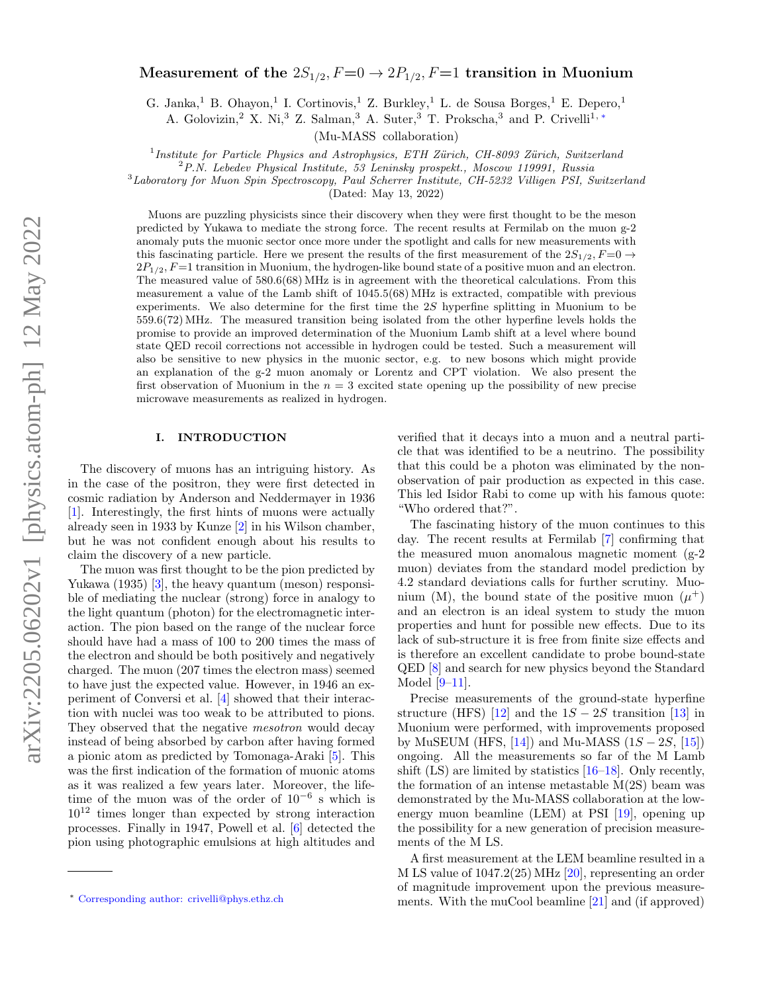# Measurement of the  $2S_{1/2}$ ,  $F=0 \rightarrow 2P_{1/2}$ ,  $F=1$  transition in Muonium

G. Janka,<sup>1</sup> B. Ohayon,<sup>1</sup> I. Cortinovis,<sup>1</sup> Z. Burkley,<sup>1</sup> L. de Sousa Borges,<sup>1</sup> E. Depero,<sup>1</sup>

A. Golovizin,<sup>2</sup> X. Ni,<sup>3</sup> Z. Salman,<sup>3</sup> A. Suter,<sup>3</sup> T. Prokscha,<sup>3</sup> and P. Crivelli<sup>1,\*</sup>

(Mu-MASS collaboration)

<sup>1</sup>Institute for Particle Physics and Astrophysics, ETH Zürich, CH-8093 Zürich, Switzerland

<sup>2</sup>P.N. Lebedev Physical Institute, 53 Leninsky prospekt., Moscow 119991, Russia

 $3$ Laboratory for Muon Spin Spectroscopy, Paul Scherrer Institute, CH-5232 Villigen PSI, Switzerland

(Dated: May 13, 2022)

Muons are puzzling physicists since their discovery when they were first thought to be the meson predicted by Yukawa to mediate the strong force. The recent results at Fermilab on the muon g-2 anomaly puts the muonic sector once more under the spotlight and calls for new measurements with this fascinating particle. Here we present the results of the first measurement of the  $2S_{1/2}$ ,  $F=0 \rightarrow$  $2P_{1/2}$ ,  $F=1$  transition in Muonium, the hydrogen-like bound state of a positive muon and an electron. The measured value of 580.6(68) MHz is in agreement with the theoretical calculations. From this measurement a value of the Lamb shift of 1045.5(68) MHz is extracted, compatible with previous experiments. We also determine for the first time the 2S hyperfine splitting in Muonium to be 559.6(72) MHz. The measured transition being isolated from the other hyperfine levels holds the promise to provide an improved determination of the Muonium Lamb shift at a level where bound state QED recoil corrections not accessible in hydrogen could be tested. Such a measurement will also be sensitive to new physics in the muonic sector, e.g. to new bosons which might provide an explanation of the g-2 muon anomaly or Lorentz and CPT violation. We also present the first observation of Muonium in the  $n = 3$  excited state opening up the possibility of new precise microwave measurements as realized in hydrogen.

## I. INTRODUCTION

The discovery of muons has an intriguing history. As in the case of the positron, they were first detected in cosmic radiation by Anderson and Neddermayer in 1936 [\[1\]](#page-4-0). Interestingly, the first hints of muons were actually already seen in 1933 by Kunze [\[2\]](#page-4-1) in his Wilson chamber, but he was not confident enough about his results to claim the discovery of a new particle.

The muon was first thought to be the pion predicted by Yukawa (1935) [\[3\]](#page-5-0), the heavy quantum (meson) responsible of mediating the nuclear (strong) force in analogy to the light quantum (photon) for the electromagnetic interaction. The pion based on the range of the nuclear force should have had a mass of 100 to 200 times the mass of the electron and should be both positively and negatively charged. The muon (207 times the electron mass) seemed to have just the expected value. However, in 1946 an experiment of Conversi et al. [\[4\]](#page-5-1) showed that their interaction with nuclei was too weak to be attributed to pions. They observed that the negative *mesotron* would decay instead of being absorbed by carbon after having formed a pionic atom as predicted by Tomonaga-Araki [\[5\]](#page-5-2). This was the first indication of the formation of muonic atoms as it was realized a few years later. Moreover, the lifetime of the muon was of the order of 10<sup>−</sup><sup>6</sup> s which is  $10^{12}$  times longer than expected by strong interaction processes. Finally in 1947, Powell et al. [\[6\]](#page-5-3) detected the pion using photographic emulsions at high altitudes and

verified that it decays into a muon and a neutral particle that was identified to be a neutrino. The possibility that this could be a photon was eliminated by the nonobservation of pair production as expected in this case. This led Isidor Rabi to come up with his famous quote: "Who ordered that?".

The fascinating history of the muon continues to this day. The recent results at Fermilab [\[7\]](#page-5-4) confirming that the measured muon anomalous magnetic moment (g-2 muon) deviates from the standard model prediction by 4.2 standard deviations calls for further scrutiny. Muonium (M), the bound state of the positive muon  $(\mu^+)$ and an electron is an ideal system to study the muon properties and hunt for possible new effects. Due to its lack of sub-structure it is free from finite size effects and is therefore an excellent candidate to probe bound-state QED [\[8\]](#page-5-5) and search for new physics beyond the Standard Model [\[9](#page-5-6)[–11\]](#page-5-7).

Precise measurements of the ground-state hyperfine structure (HFS) [\[12\]](#page-5-8) and the  $1S - 2S$  transition [\[13\]](#page-5-9) in Muonium were performed, with improvements proposed by MuSEUM (HFS,  $[14]$ ) and Mu-MASS  $(1S - 2S, [15])$  $(1S - 2S, [15])$  $(1S - 2S, [15])$ ongoing. All the measurements so far of the M Lamb shift (LS) are limited by statistics [\[16–](#page-5-12)[18\]](#page-5-13). Only recently, the formation of an intense metastable  $M(2S)$  beam was demonstrated by the Mu-MASS collaboration at the lowenergy muon beamline (LEM) at PSI [\[19\]](#page-5-14), opening up the possibility for a new generation of precision measurements of the M LS.

A first measurement at the LEM beamline resulted in a M LS value of 1047.2(25) MHz [\[20\]](#page-5-15), representing an order of magnitude improvement upon the previous measurements. With the muCool beamline [\[21\]](#page-5-16) and (if approved)

<span id="page-0-0"></span><sup>∗</sup> [Corresponding author: crivelli@phys.ethz.ch](mailto:Corresponding author: crivelli@phys.ethz.ch)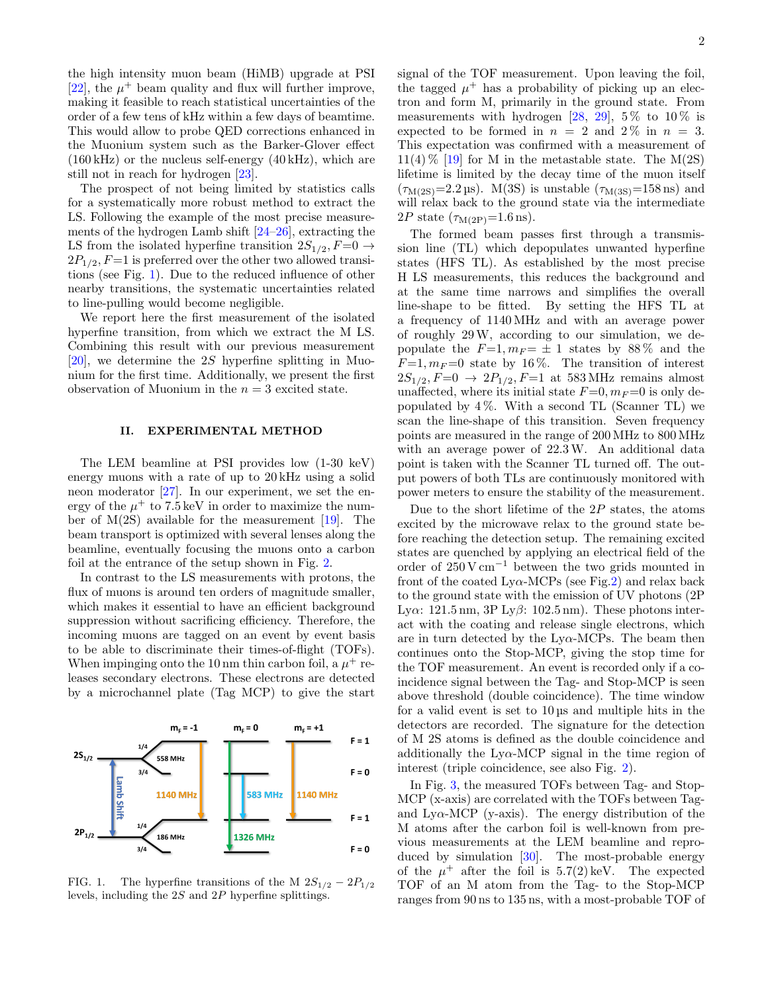the high intensity muon beam (HiMB) upgrade at PSI [\[22\]](#page-5-17), the  $\mu^+$  beam quality and flux will further improve, making it feasible to reach statistical uncertainties of the order of a few tens of kHz within a few days of beamtime. This would allow to probe QED corrections enhanced in the Muonium system such as the Barker-Glover effect (160 kHz) or the nucleus self-energy (40 kHz), which are still not in reach for hydrogen [\[23\]](#page-5-18).

The prospect of not being limited by statistics calls for a systematically more robust method to extract the LS. Following the example of the most precise measurements of the hydrogen Lamb shift [\[24–](#page-5-19)[26\]](#page-5-20), extracting the LS from the isolated hyperfine transition  $2S_{1/2}$ ,  $F=0 \rightarrow$  $2P_{1/2}$ ,  $F=1$  is preferred over the other two allowed transitions (see Fig. [1\)](#page-1-0). Due to the reduced influence of other nearby transitions, the systematic uncertainties related to line-pulling would become negligible.

We report here the first measurement of the isolated hyperfine transition, from which we extract the M LS. Combining this result with our previous measurement [\[20\]](#page-5-15), we determine the 2S hyperfine splitting in Muonium for the first time. Additionally, we present the first observation of Muonium in the  $n = 3$  excited state.

## II. EXPERIMENTAL METHOD

The LEM beamline at PSI provides low (1-30 keV) energy muons with a rate of up to 20 kHz using a solid neon moderator [\[27\]](#page-5-21). In our experiment, we set the energy of the  $\mu^+$  to 7.5 keV in order to maximize the number of  $M(2S)$  available for the measurement [\[19\]](#page-5-14). The beam transport is optimized with several lenses along the beamline, eventually focusing the muons onto a carbon foil at the entrance of the setup shown in Fig. [2.](#page-2-0)

In contrast to the LS measurements with protons, the flux of muons is around ten orders of magnitude smaller, which makes it essential to have an efficient background suppression without sacrificing efficiency. Therefore, the incoming muons are tagged on an event by event basis to be able to discriminate their times-of-flight (TOFs). When impinging onto the 10 nm thin carbon foil, a  $\mu^+$  releases secondary electrons. These electrons are detected by a microchannel plate (Tag MCP) to give the start



<span id="page-1-0"></span>FIG. 1. The hyperfine transitions of the M  $2S_{1/2} - 2P_{1/2}$ levels, including the 2S and 2P hyperfine splittings.

signal of the TOF measurement. Upon leaving the foil, the tagged  $\mu^+$  has a probability of picking up an electron and form M, primarily in the ground state. From measurements with hydrogen [\[28,](#page-5-22) [29\]](#page-5-23), 5% to 10% is expected to be formed in  $n = 2$  and  $2\%$  in  $n = 3$ . This expectation was confirmed with a measurement of  $11(4)\%$  [\[19\]](#page-5-14) for M in the metastable state. The M(2S) lifetime is limited by the decay time of the muon itself  $(\tau_{M(2S)}=2.2 \,\text{\mu s})$ . M(3S) is unstable  $(\tau_{M(3S)}=158 \,\text{ns})$  and will relax back to the ground state via the intermediate  $2P$  state  $(\tau_{\text{M}(2P)}=1.6 \text{ ns}).$ 

The formed beam passes first through a transmission line (TL) which depopulates unwanted hyperfine states (HFS TL). As established by the most precise H LS measurements, this reduces the background and at the same time narrows and simplifies the overall line-shape to be fitted. By setting the HFS TL at a frequency of 1140 MHz and with an average power of roughly 29W, according to our simulation, we depopulate the  $F=1$ ,  $m_F = \pm 1$  states by 88% and the  $F=1, m_F=0$  state by 16%. The transition of interest  $2S_{1/2}, F=0 \rightarrow 2P_{1/2}, F=1$  at 583 MHz remains almost unaffected, where its initial state  $F=0, m_F=0$  is only depopulated by  $4\%$ . With a second TL (Scanner TL) we scan the line-shape of this transition. Seven frequency points are measured in the range of 200 MHz to 800 MHz with an average power of  $22.3 \text{W}$ . An additional data point is taken with the Scanner TL turned off. The output powers of both TLs are continuously monitored with power meters to ensure the stability of the measurement.

Due to the short lifetime of the  $2P$  states, the atoms excited by the microwave relax to the ground state before reaching the detection setup. The remaining excited states are quenched by applying an electrical field of the order of 250 V cm<sup>−</sup><sup>1</sup> between the two grids mounted in front of the coated  $Ly\alpha$ -MCPs (see Fig[.2\)](#page-2-0) and relax back to the ground state with the emission of UV photons (2P Lya:  $121.5 \text{ nm}$ ,  $3P \text{ Ly}\beta$ :  $102.5 \text{ nm}$ ). These photons interact with the coating and release single electrons, which are in turn detected by the  $Ly\alpha$ -MCPs. The beam then continues onto the Stop-MCP, giving the stop time for the TOF measurement. An event is recorded only if a coincidence signal between the Tag- and Stop-MCP is seen above threshold (double coincidence). The time window for a valid event is set to 10 µs and multiple hits in the detectors are recorded. The signature for the detection of M 2S atoms is defined as the double coincidence and additionally the  $Ly\alpha$ -MCP signal in the time region of interest (triple coincidence, see also Fig. [2\)](#page-2-0).

In Fig. [3,](#page-2-1) the measured TOFs between Tag- and Stop-MCP (x-axis) are correlated with the TOFs between Tagand  $Ly\alpha-MCP$  (y-axis). The energy distribution of the M atoms after the carbon foil is well-known from previous measurements at the LEM beamline and reproduced by simulation [\[30\]](#page-5-24). The most-probable energy of the  $\mu^+$  after the foil is 5.7(2) keV. The expected TOF of an M atom from the Tag- to the Stop-MCP ranges from 90 ns to 135 ns, with a most-probable TOF of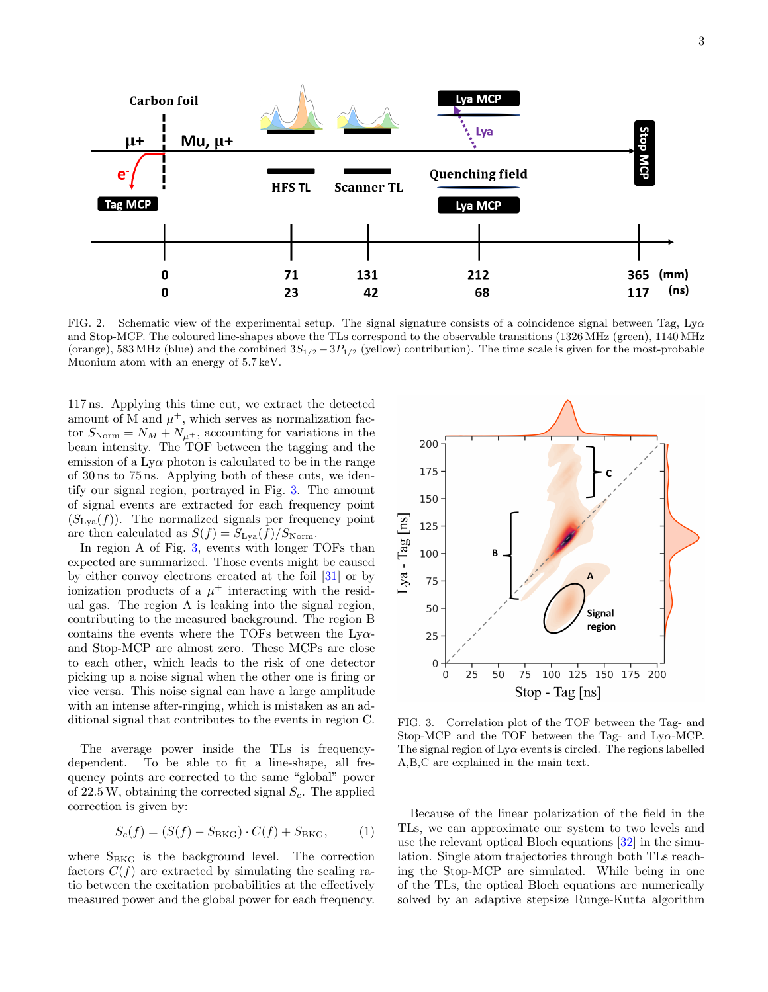

<span id="page-2-0"></span>FIG. 2. Schematic view of the experimental setup. The signal signature consists of a coincidence signal between Tag,  $Ly\alpha$ and Stop-MCP. The coloured line-shapes above the TLs correspond to the observable transitions (1326 MHz (green), 1140 MHz (orange), 583 MHz (blue) and the combined  $3S_{1/2} - 3P_{1/2}$  (yellow) contribution). The time scale is given for the most-probable Muonium atom with an energy of 5.7 keV.

117 ns. Applying this time cut, we extract the detected amount of M and  $\mu^+$ , which serves as normalization factor  $S_{\text{Norm}} = N_M + N_{\mu^+}$ , accounting for variations in the beam intensity. The TOF between the tagging and the emission of a Ly $\alpha$  photon is calculated to be in the range of 30 ns to 75 ns. Applying both of these cuts, we identify our signal region, portrayed in Fig. [3.](#page-2-1) The amount of signal events are extracted for each frequency point  $(S<sub>Lva</sub>(f))$ . The normalized signals per frequency point are then calculated as  $S(f) = S_{\text{Lya}}(f)/S_{\text{Norm}}$ .

In region A of Fig. [3,](#page-2-1) events with longer TOFs than expected are summarized. Those events might be caused by either convoy electrons created at the foil [\[31\]](#page-5-25) or by ionization products of a  $\mu^+$  interacting with the residual gas. The region A is leaking into the signal region, contributing to the measured background. The region B contains the events where the TOFs between the  $Ly\alpha$ and Stop-MCP are almost zero. These MCPs are close to each other, which leads to the risk of one detector picking up a noise signal when the other one is firing or vice versa. This noise signal can have a large amplitude with an intense after-ringing, which is mistaken as an additional signal that contributes to the events in region C.

The average power inside the TLs is frequencydependent. To be able to fit a line-shape, all frequency points are corrected to the same "global" power of  $22.5 W$ , obtaining the corrected signal  $S_c$ . The applied correction is given by:

$$
S_c(f) = (S(f) - S_{BKG}) \cdot C(f) + S_{BKG}, \qquad (1)
$$

where  $S_{BKG}$  is the background level. The correction factors  $C(f)$  are extracted by simulating the scaling ratio between the excitation probabilities at the effectively measured power and the global power for each frequency.



<span id="page-2-1"></span>FIG. 3. Correlation plot of the TOF between the Tag- and Stop-MCP and the TOF between the Tag- and  $Ly\alpha$ -MCP. The signal region of  $Ly\alpha$  events is circled. The regions labelled A,B,C are explained in the main text.

Because of the linear polarization of the field in the TLs, we can approximate our system to two levels and use the relevant optical Bloch equations [\[32\]](#page-5-26) in the simulation. Single atom trajectories through both TLs reaching the Stop-MCP are simulated. While being in one of the TLs, the optical Bloch equations are numerically solved by an adaptive stepsize Runge-Kutta algorithm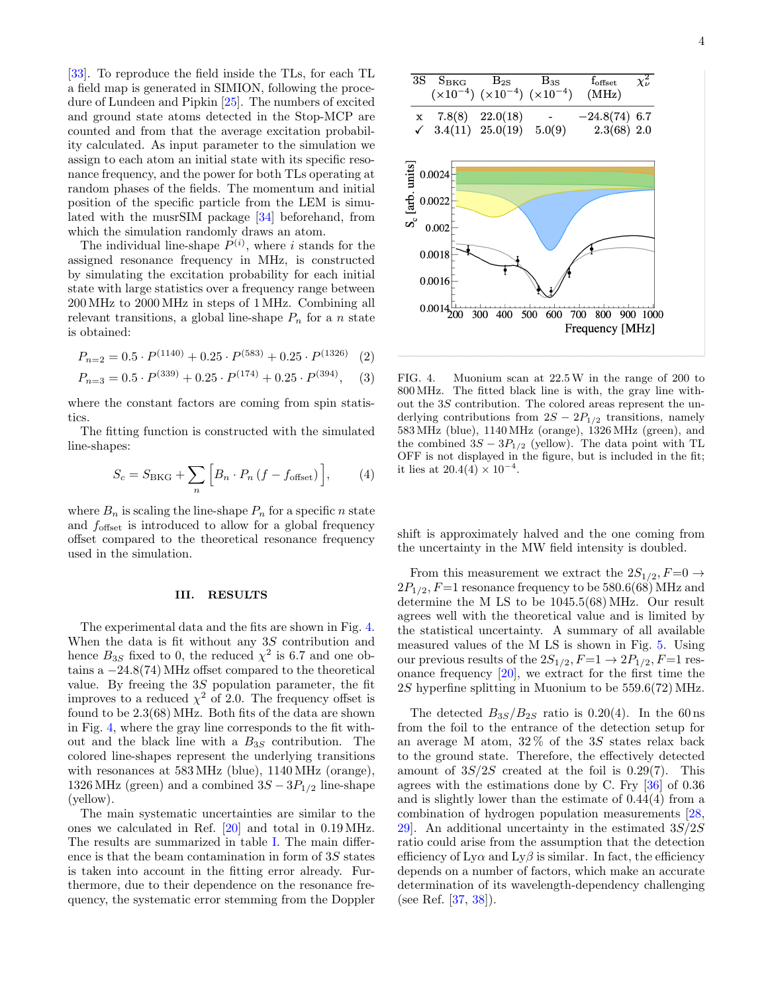[\[33\]](#page-5-27). To reproduce the field inside the TLs, for each TL a field map is generated in SIMION, following the procedure of Lundeen and Pipkin [\[25\]](#page-5-28). The numbers of excited and ground state atoms detected in the Stop-MCP are counted and from that the average excitation probability calculated. As input parameter to the simulation we assign to each atom an initial state with its specific resonance frequency, and the power for both TLs operating at random phases of the fields. The momentum and initial position of the specific particle from the LEM is simulated with the musrSIM package [\[34\]](#page-5-29) beforehand, from which the simulation randomly draws an atom.

The individual line-shape  $P^{(i)}$ , where i stands for the assigned resonance frequency in MHz, is constructed by simulating the excitation probability for each initial state with large statistics over a frequency range between 200 MHz to 2000 MHz in steps of 1 MHz. Combining all relevant transitions, a global line-shape  $P_n$  for a n state is obtained:

$$
P_{n=2} = 0.5 \cdot P^{(1140)} + 0.25 \cdot P^{(583)} + 0.25 \cdot P^{(1326)} \quad (2)
$$

$$
P_{n=3} = 0.5 \cdot P^{(339)} + 0.25 \cdot P^{(174)} + 0.25 \cdot P^{(394)}, \quad (3)
$$

where the constant factors are coming from spin statistics.

The fitting function is constructed with the simulated line-shapes:

$$
S_c = S_{\text{BKG}} + \sum_{n} \left[ B_n \cdot P_n \left( f - f_{\text{offset}} \right) \right],\tag{4}
$$

where  $B_n$  is scaling the line-shape  $P_n$  for a specific n state and  $f_{\text{offset}}$  is introduced to allow for a global frequency offset compared to the theoretical resonance frequency used in the simulation.

### III. RESULTS

The experimental data and the fits are shown in Fig. [4.](#page-3-0) When the data is fit without any 3S contribution and hence  $B_{3S}$  fixed to 0, the reduced  $\chi^2$  is 6.7 and one obtains a  $-24.8(74)$  MHz offset compared to the theoretical value. By freeing the 3S population parameter, the fit improves to a reduced  $\chi^2$  of 2.0. The frequency offset is found to be 2.3(68) MHz. Both fits of the data are shown in Fig. [4,](#page-3-0) where the gray line corresponds to the fit without and the black line with a  $B_{3S}$  contribution. The colored line-shapes represent the underlying transitions with resonances at 583 MHz (blue), 1140 MHz (orange), 1326 MHz (green) and a combined  $3S - 3P_{1/2}$  line-shape (yellow).

The main systematic uncertainties are similar to the ones we calculated in Ref. [\[20\]](#page-5-15) and total in 0.19 MHz. The results are summarized in table [I.](#page-4-2) The main difference is that the beam contamination in form of 3S states is taken into account in the fitting error already. Furthermore, due to their dependence on the resonance frequency, the systematic error stemming from the Doppler



<span id="page-3-0"></span>FIG. 4. Muonium scan at 22.5W in the range of 200 to 800 MHz. The fitted black line is with, the gray line without the 3S contribution. The colored areas represent the underlying contributions from  $2S - 2P_{1/2}$  transitions, namely 583 MHz (blue), 1140 MHz (orange), 1326 MHz (green), and the combined  $3S - 3P_{1/2}$  (yellow). The data point with TL OFF is not displayed in the figure, but is included in the fit; it lies at  $20.4(4) \times 10^{-4}$ .

shift is approximately halved and the one coming from the uncertainty in the MW field intensity is doubled.

From this measurement we extract the  $2S_{1/2}$ ,  $F=0 \rightarrow$  $2P_{1/2}$ ,  $F=1$  resonance frequency to be 580.6(68) MHz and determine the M LS to be 1045.5(68) MHz. Our result agrees well with the theoretical value and is limited by the statistical uncertainty. A summary of all available measured values of the M LS is shown in Fig. [5.](#page-4-3) Using our previous results of the  $2S_{1/2}$ ,  $F=1 \rightarrow 2P_{1/2}$ ,  $F=1$  resonance frequency [\[20\]](#page-5-15), we extract for the first time the 2S hyperfine splitting in Muonium to be 559.6(72) MHz.

The detected  $B_{3S}/B_{2S}$  ratio is 0.20(4). In the 60 ns from the foil to the entrance of the detection setup for an average M atom,  $32\%$  of the 3S states relax back to the ground state. Therefore, the effectively detected amount of  $3S/2S$  created at the foil is 0.29(7). This agrees with the estimations done by C. Fry [\[36\]](#page-5-30) of 0.36 and is slightly lower than the estimate of 0.44(4) from a combination of hydrogen population measurements [\[28,](#page-5-22) 29. An additional uncertainty in the estimated  $3S/2S$ ratio could arise from the assumption that the detection efficiency of  $Ly\alpha$  and  $Ly\beta$  is similar. In fact, the efficiency depends on a number of factors, which make an accurate determination of its wavelength-dependency challenging (see Ref. [\[37,](#page-5-31) [38\]](#page-5-32)).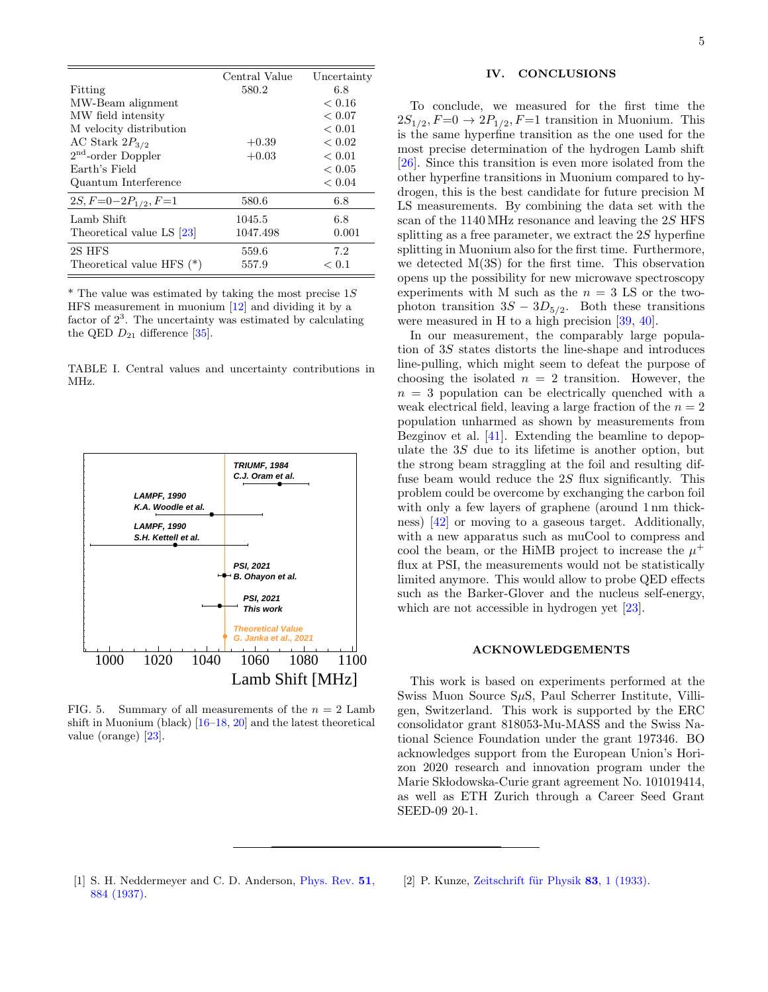|                             | Central Value | Uncertainty |
|-----------------------------|---------------|-------------|
| Fitting                     | 580.2         | 6.8         |
| MW-Beam alignment           |               | ${}< 0.16$  |
| MW field intensity          |               | ${}< 0.07$  |
| M velocity distribution     |               | ${}< 0.01$  |
| AC Stark $2P_{3/2}$         | $+0.39$       | ${}< 0.02$  |
| $2nd$ -order Doppler        | $+0.03$       | < 0.01      |
| Earth's Field               |               | ${}< 0.05$  |
| Quantum Interference        |               | ${}< 0.04$  |
| $2S, F=0-2P_{1/2}, F=1$     | 580.6         | 6.8         |
| Lamb Shift                  | 1045.5        | 6.8         |
| Theoretical value LS [23]   | 1047.498      | 0.001       |
| 2S HFS                      | 559.6         | 7.2         |
| Theoretical value HFS $(*)$ | 557.9         | < 0.1       |

 $*$  The value was estimated by taking the most precise 1S HFS measurement in muonium [\[12\]](#page-5-8) and dividing it by a factor of  $2<sup>3</sup>$ . The uncertainty was estimated by calculating the QED  $D_{21}$  difference [\[35\]](#page-5-33).

<span id="page-4-2"></span>TABLE I. Central values and uncertainty contributions in MHz.



<span id="page-4-3"></span>FIG. 5. Summary of all measurements of the  $n = 2$  Lamb shift in Muonium (black) [\[16–](#page-5-12)[18,](#page-5-13) [20\]](#page-5-15) and the latest theoretical value (orange) [\[23\]](#page-5-18).

## IV. CONCLUSIONS

To conclude, we measured for the first time the  $2S_{1/2}$ ,  $F=0 \rightarrow 2P_{1/2}$ ,  $F=1$  transition in Muonium. This is the same hyperfine transition as the one used for the most precise determination of the hydrogen Lamb shift [\[26\]](#page-5-20). Since this transition is even more isolated from the other hyperfine transitions in Muonium compared to hydrogen, this is the best candidate for future precision M LS measurements. By combining the data set with the scan of the 1140 MHz resonance and leaving the 2S HFS splitting as a free parameter, we extract the 2S hyperfine splitting in Muonium also for the first time. Furthermore, we detected M(3S) for the first time. This observation opens up the possibility for new microwave spectroscopy experiments with M such as the  $n = 3$  LS or the twophoton transition  $3S - 3D_{5/2}$ . Both these transitions were measured in H to a high precision [\[39,](#page-5-34) [40\]](#page-5-35).

In our measurement, the comparably large population of 3S states distorts the line-shape and introduces line-pulling, which might seem to defeat the purpose of choosing the isolated  $n = 2$  transition. However, the  $n = 3$  population can be electrically quenched with a weak electrical field, leaving a large fraction of the  $n = 2$ population unharmed as shown by measurements from Bezginov et al. [\[41\]](#page-5-36). Extending the beamline to depopulate the 3S due to its lifetime is another option, but the strong beam straggling at the foil and resulting diffuse beam would reduce the 2S flux significantly. This problem could be overcome by exchanging the carbon foil with only a few layers of graphene (around 1 nm thickness) [\[42\]](#page-5-37) or moving to a gaseous target. Additionally, with a new apparatus such as muCool to compress and cool the beam, or the HiMB project to increase the  $\mu^+$ flux at PSI, the measurements would not be statistically limited anymore. This would allow to probe QED effects such as the Barker-Glover and the nucleus self-energy, which are not accessible in hydrogen yet [\[23\]](#page-5-18).

#### ACKNOWLEDGEMENTS

This work is based on experiments performed at the Swiss Muon Source  $S\mu S$ , Paul Scherrer Institute, Villigen, Switzerland. This work is supported by the ERC consolidator grant 818053-Mu-MASS and the Swiss National Science Foundation under the grant 197346. BO acknowledges support from the European Union's Horizon 2020 research and innovation program under the Marie Skłodowska-Curie grant agreement No. 101019414, as well as ETH Zurich through a Career Seed Grant SEED-09 20-1.

- <span id="page-4-0"></span>[1] S. H. Neddermeyer and C. D. Anderson, [Phys. Rev.](http://dx.doi.org/10.1103/PhysRev.51.884) 51, [884 \(1937\).](http://dx.doi.org/10.1103/PhysRev.51.884)
- <span id="page-4-1"></span>[2] P. Kunze, Zeitschrift für Physik  $83$ , 1 (1933).